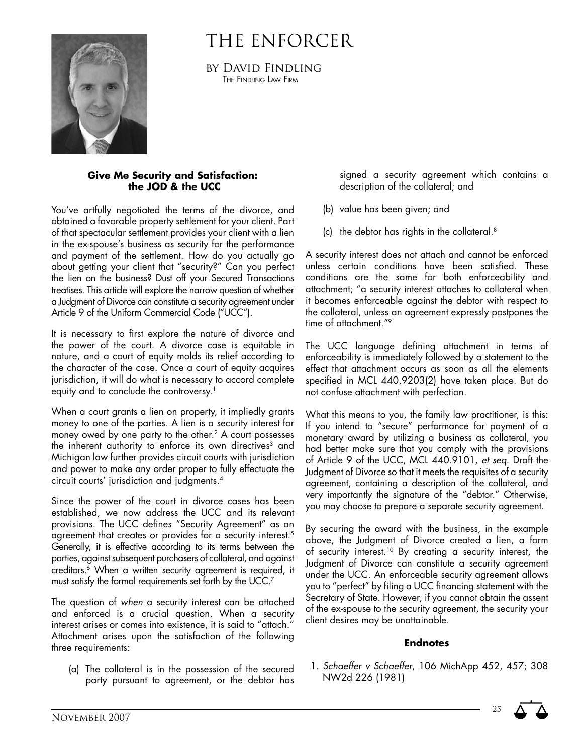# The Enforcer



by David Findling The Findling Law Firm

#### **Give Me Security and Satisfaction: the JOD & the UCC**

You've artfully negotiated the terms of the divorce, and obtained a favorable property settlement for your client. Part of that spectacular settlement provides your client with a lien in the ex-spouse's business as security for the performance and payment of the settlement. How do you actually go about getting your client that "security?" Can you perfect the lien on the business? Dust off your Secured Transactions treatises. This article will explore the narrow question of whether a Judgment of Divorce can constitute a security agreement under Article 9 of the Uniform Commercial Code ("UCC").

It is necessary to first explore the nature of divorce and the power of the court. A divorce case is equitable in nature, and a court of equity molds its relief according to the character of the case. Once a court of equity acquires jurisdiction, it will do what is necessary to accord complete equity and to conclude the controversy.<sup>1</sup>

When a court grants a lien on property, it impliedly grants money to one of the parties. A lien is a security interest for money owed by one party to the other.2 A court possesses the inherent authority to enforce its own directives<sup>3</sup> and Michigan law further provides circuit courts with jurisdiction and power to make any order proper to fully effectuate the circuit courts' jurisdiction and judgments.4

Since the power of the court in divorce cases has been established, we now address the UCC and its relevant provisions. The UCC defines "Security Agreement" as an agreement that creates or provides for a security interest.<sup>5</sup> Generally, it is effective according to its terms between the parties, against subsequent purchasers of collateral, and against creditors.<sup>6</sup> When a written security agreement is required, it must satisfy the formal requirements set forth by the UCC.7

The question of *when* a security interest can be attached and enforced is a crucial question. When a security interest arises or comes into existence, it is said to "attach." Attachment arises upon the satisfaction of the following three requirements:

(a) The collateral is in the possession of the secured party pursuant to agreement, or the debtor has

signed a security agreement which contains a description of the collateral; and

- (b) value has been given; and
- (c) the debtor has rights in the collateral.8

A security interest does not attach and cannot be enforced unless certain conditions have been satisfied. These conditions are the same for both enforceability and attachment; "a security interest attaches to collateral when it becomes enforceable against the debtor with respect to the collateral, unless an agreement expressly postpones the time of attachment."9

The UCC language defining attachment in terms of enforceability is immediately followed by a statement to the effect that attachment occurs as soon as all the elements specified in MCL 440.9203(2) have taken place. But do not confuse attachment with perfection.

What this means to you, the family law practitioner, is this: If you intend to "secure" performance for payment of a monetary award by utilizing a business as collateral, you had better make sure that you comply with the provisions of Article 9 of the UCC, MCL 440.9101, *et seq*. Draft the Judgment of Divorce so that it meets the requisites of a security agreement, containing a description of the collateral, and very importantly the signature of the "debtor." Otherwise, you may choose to prepare a separate security agreement.

By securing the award with the business, in the example above, the Judgment of Divorce created a lien, a form of security interest.10 By creating a security interest, the Judgment of Divorce can constitute a security agreement under the UCC. An enforceable security agreement allows you to "perfect" by filing a UCC financing statement with the Secretary of State. However, if you cannot obtain the assent of the ex-spouse to the security agreement, the security your client desires may be unattainable.

#### **Endnotes**

1. *Schaeffer v Schaeffer*, 106 MichApp 452, 457; 308 NW2d 226 (1981)